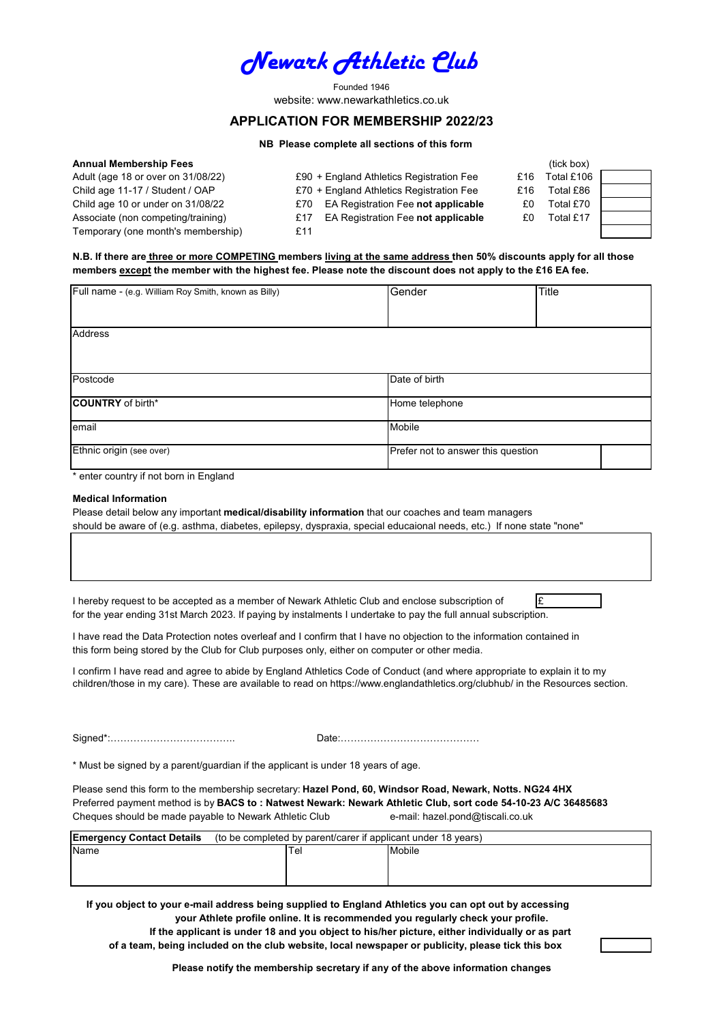

Founded 1946 website: www.newarkathletics.co.uk

# **APPLICATION FOR MEMBERSHIP 2022/23**

# **NB Please complete all sections of this form**

| <b>Annual Membership Fees</b>      |                                           | (tick box)        |  |
|------------------------------------|-------------------------------------------|-------------------|--|
| Adult (age 18 or over on 31/08/22) | £90 + England Athletics Registration Fee  | Total £106<br>£16 |  |
| Child age 11-17 / Student / OAP    | £70 + England Athletics Registration Fee  | Total £86<br>£16  |  |
| Child age 10 or under on 31/08/22  | EA Registration Fee not applicable<br>£70 | Total £70<br>£0   |  |
| Associate (non competing/training) | EA Registration Fee not applicable<br>£17 | Total £17<br>£0   |  |
| Temporary (one month's membership) | £11                                       |                   |  |

**members except the member with the highest fee. Please note the discount does not apply to the £16 EA fee. N.B. If there are three or more COMPETING members living at the same address then 50% discounts apply for all those**

| Full name - (e.g. William Roy Smith, known as Billy) | Gender                             | <b>Title</b> |  |
|------------------------------------------------------|------------------------------------|--------------|--|
| <b>Address</b>                                       |                                    |              |  |
| Postcode                                             | Date of birth                      |              |  |
| <b>COUNTRY</b> of birth*                             | Home telephone                     |              |  |
| email                                                | Mobile                             |              |  |
| Ethnic origin (see over)                             | Prefer not to answer this question |              |  |

\* enter country if not born in England

## **Medical Information**

Please detail below any important **medical/disability information** that our coaches and team managers should be aware of (e.g. asthma, diabetes, epilepsy, dyspraxia, special educaional needs, etc.) If none state "none"

I hereby request to be accepted as a member of Newark Athletic Club and enclose subscription of  $\mathbf{E}$ for the year ending 31st March 2023. If paying by instalments I undertake to pay the full annual subscription.

I have read the Data Protection notes overleaf and I confirm that I have no objection to the information contained in this form being stored by the Club for Club purposes only, either on computer or other media.

I confirm I have read and agree to abide by England Athletics Code of Conduct (and where appropriate to explain it to my children/those in my care). These are available to read on https://www.englandathletics.org/clubhub/ in the Resources section.

Signed\*:………………………………..

Date:……………………………………

\* Must be signed by a parent/guardian if the applicant is under 18 years of age.

Please send this form to the membership secretary: **Hazel Pond, 60, Windsor Road, Newark, Notts. NG24 4HX** Preferred payment method is by **BACS to : Natwest Newark: Newark Athletic Club, sort code 54-10-23 A/C 36485683** Cheques should be made payable to Newark Athletic Club e-mail: hazel.pond@tiscali.co.uk

| <b>Emergency Contact Details</b> | (to be completed by parent/carer if applicant under 18 years) |        |  |
|----------------------------------|---------------------------------------------------------------|--------|--|
| Name                             | Tel                                                           | Mobile |  |
|                                  |                                                               |        |  |
|                                  |                                                               |        |  |

 **If you object to your e-mail address being supplied to England Athletics you can opt out by accessing of a team, being included on the club website, local newspaper or publicity, please tick this box If the applicant is under 18 and you object to his/her picture, either individually or as part your Athlete profile online. It is recommended you regularly check your profile.**

**Please notify the membership secretary if any of the above information changes**